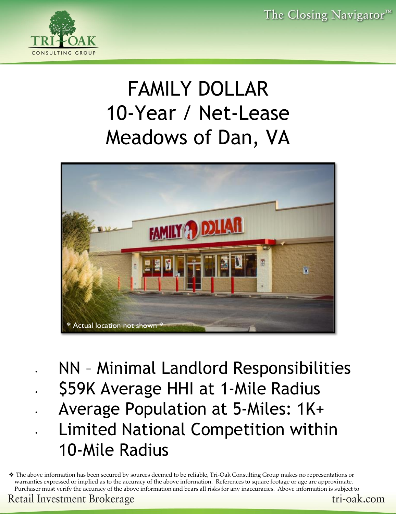

# FAMILY DOLLAR 10-Year / Net-Lease Meadows of Dan, VA



- NN Minimal Landlord Responsibilities • \$59K Average HHI at 1-Mile Radius
	- Average Population at 5-Miles: 1K+
	- Limited National Competition within 10-Mile Radius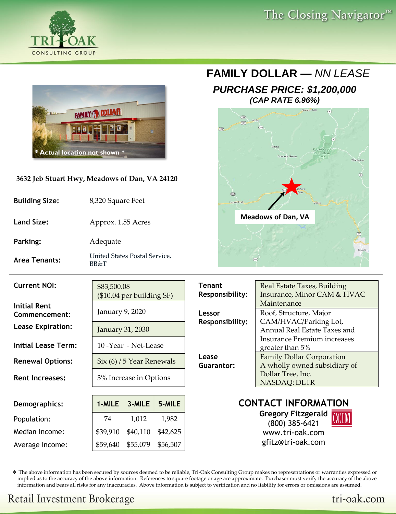



#### **3632 Jeb Stuart Hwy, Meadows of Dan, VA 24120**

| <b>Building Size:</b> | 8,320 Square Feet                     |
|-----------------------|---------------------------------------|
| <b>Land Size:</b>     | Approx. 1.55 Acres                    |
| Parking:              | Adequate                              |
| Area Tenants:         | United States Postal Service,<br>BB&T |

#### **FAMILY DOLLAR —** *NN LEASE*

#### *PURCHASE PRICE: \$1,200,000 (CAP RATE 6.96%)*



| <b>Current NOI:</b>                                              | \$83,500.08                                                   | $($10.04$ per building SF) |                      | <b>Tenant</b><br><b>Responsibility:</b> | Real Estate Taxes, Building<br>Insurance, Minor CAM & HVAC                                     |  |  |  |  |  |
|------------------------------------------------------------------|---------------------------------------------------------------|----------------------------|----------------------|-----------------------------------------|------------------------------------------------------------------------------------------------|--|--|--|--|--|
| <b>Initial Rent</b><br>Commencement:<br><b>Lease Expiration:</b> | January 9, 2020<br>January 31, 2030                           |                            |                      | Lessor<br>Responsibility:               | Maintenance<br>Roof, Structure, Major<br>CAM/HVAC/Parking Lot,<br>Annual Real Estate Taxes and |  |  |  |  |  |
| <b>Initial Lease Term:</b>                                       |                                                               | 10 -Year - Net-Lease       |                      |                                         | <b>Insurance Premium increases</b><br>greater than 5%                                          |  |  |  |  |  |
| <b>Renewal Options:</b><br><b>Rent Increases:</b>                | $\text{Six } (6)$ / 5 Year Renewals<br>3% Increase in Options |                            |                      | Lease<br>Guarantor:                     | <b>Family Dollar Corporation</b><br>A wholly owned subsidiary of<br>Dollar Tree, Inc.          |  |  |  |  |  |
|                                                                  |                                                               |                            |                      |                                         | <b>NASDAQ: DLTR</b>                                                                            |  |  |  |  |  |
| Demographics:                                                    | 1-MILE                                                        | 3-MILE                     | 5-MILE               |                                         | <b>CONTACT INFORMATION</b>                                                                     |  |  |  |  |  |
| Population:                                                      | 74                                                            | 1,012                      | 1,982                |                                         | <b>Gregory Fitzgerald</b><br>(800) 385-6421                                                    |  |  |  |  |  |
| Median Income:<br>Average Income:                                | \$39,910<br>\$59,640                                          | \$40,110<br>\$55,079       | \$42,625<br>\$56,507 |                                         | www.tri-oak.com<br>gfitz@tri-oak.com                                                           |  |  |  |  |  |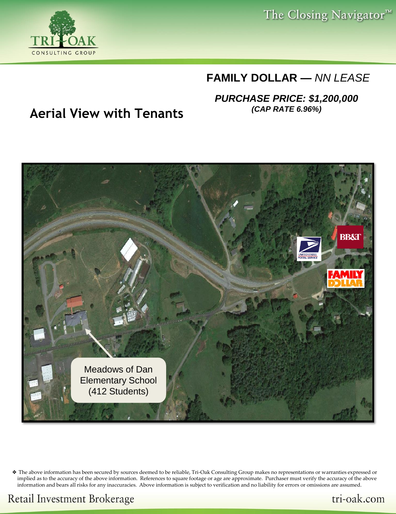GROUP CONSULTING

The Closing Navigator<sup>™</sup>

## **FAMILY DOLLAR —** *NN LEASE*

*PURCHASE PRICE: \$1,200,000*

# *(CAP RATE 6.96%)* **Aerial View with Tenants**



❖ The above information has been secured by sources deemed to be reliable, Tri-Oak Consulting Group makes no representations or warranties expressed or implied as to the accuracy of the above information. References to square footage or age are approximate. Purchaser must verify the accuracy of the above information and bears all risks for any inaccuracies. Above information is subject to verification and no liability for errors or omissions are assumed.

**Retail Investment Brokerage**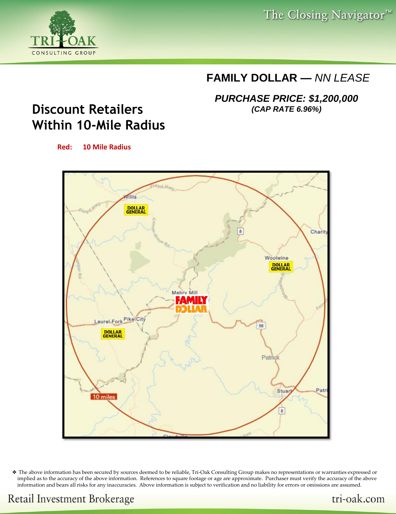The Closing Navigator<sup>™</sup>

## **FAMILY DOLLAR —** *NN LEASE*

*PURCHASE PRICE: \$1,200,000 (CAP RATE 6.96%)*

# **Discount Retailers Within 10-Mile Radius**

GROUP

CONSULTING

**Red: 10 Mile Radius**

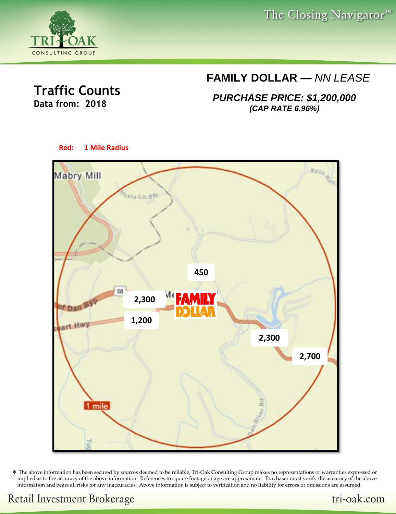The Closing Navigator<sup>™</sup>



### **Traffic Counts Data from: 2018**

## **FAMILY DOLLAR —** *NN LEASE*

*PURCHASE PRICE: \$1,200,000 (CAP RATE 6.96%)*



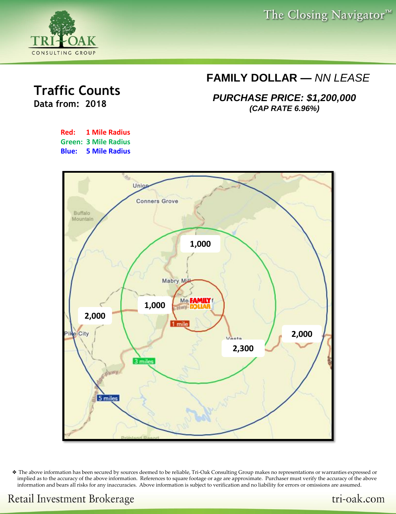The Closing Navigator<sup>™</sup>



## **Traffic Counts Data from: 2018**

**FAMILY DOLLAR —** *NN LEASE*

*PURCHASE PRICE: \$1,200,000 (CAP RATE 6.96%)*





❖ The above information has been secured by sources deemed to be reliable, Tri-Oak Consulting Group makes no representations or warranties expressed or implied as to the accuracy of the above information. References to square footage or age are approximate. Purchaser must verify the accuracy of the above information and bears all risks for any inaccuracies. Above information is subject to verification and no liability for errors or omissions are assumed.

tri-oak.com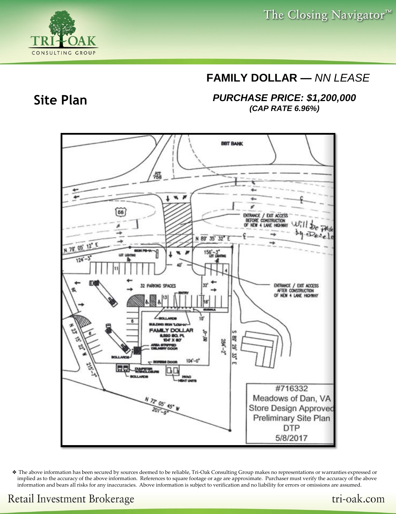### **FAMILY DOLLAR —** *NN LEASE*

*PURCHASE PRICE: \$1,200,000 (CAP RATE 6.96%)*



❖ The above information has been secured by sources deemed to be reliable, Tri-Oak Consulting Group makes no representations or warranties expressed or implied as to the accuracy of the above information. References to square footage or age are approximate. Purchaser must verify the accuracy of the above information and bears all risks for any inaccuracies. Above information is subject to verification and no liability for errors or omissions are assumed.



CONSULTING

GROUP

# **Retail Investment Brokerage**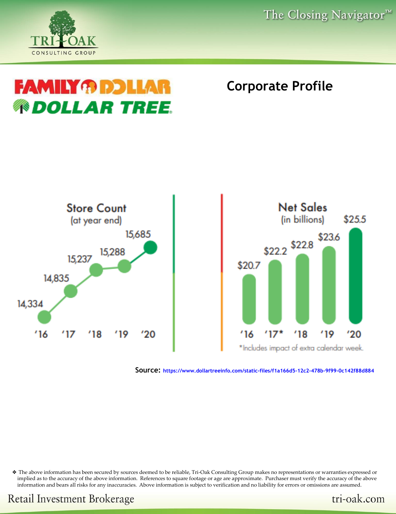GROUP CONSILITING

# **FAMILY ® DDLLA ® DOLLAR TREE**

# **Corporate Profile**



**Source: https://www.dollartreeinfo.com/static-files/f1a166d5-12c2-478b-9f99-0c142f88d884**